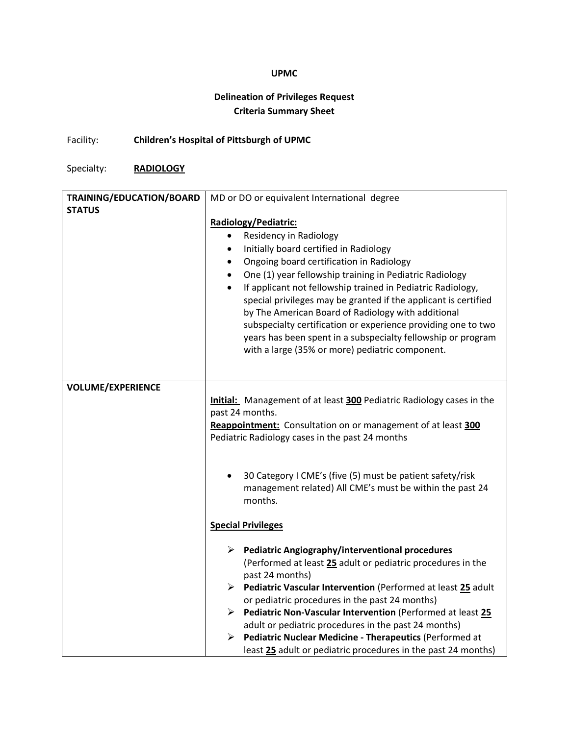## **UPMC**

## **Delineation of Privileges Request Criteria Summary Sheet**

Facility: **Children's Hospital of Pittsburgh of UPMC**

Specialty: **RADIOLOGY**

| TRAINING/EDUCATION/BOARD | MD or DO or equivalent International degree                                 |
|--------------------------|-----------------------------------------------------------------------------|
| <b>STATUS</b>            |                                                                             |
|                          | Radiology/Pediatric:                                                        |
|                          | Residency in Radiology<br>$\bullet$                                         |
|                          | Initially board certified in Radiology<br>٠                                 |
|                          | Ongoing board certification in Radiology<br>$\bullet$                       |
|                          | One (1) year fellowship training in Pediatric Radiology<br>$\bullet$        |
|                          | If applicant not fellowship trained in Pediatric Radiology,<br>$\bullet$    |
|                          | special privileges may be granted if the applicant is certified             |
|                          | by The American Board of Radiology with additional                          |
|                          | subspecialty certification or experience providing one to two               |
|                          | years has been spent in a subspecialty fellowship or program                |
|                          | with a large (35% or more) pediatric component.                             |
|                          |                                                                             |
| <b>VOLUME/EXPERIENCE</b> |                                                                             |
|                          | <b>Initial:</b> Management of at least 300 Pediatric Radiology cases in the |
|                          | past 24 months.                                                             |
|                          | Reappointment: Consultation on or management of at least 300                |
|                          | Pediatric Radiology cases in the past 24 months                             |
|                          |                                                                             |
|                          |                                                                             |
|                          | 30 Category I CME's (five (5) must be patient safety/risk                   |
|                          | management related) All CME's must be within the past 24                    |
|                          | months.                                                                     |
|                          |                                                                             |
|                          | <b>Special Privileges</b>                                                   |
|                          | $\triangleright$ Pediatric Angiography/interventional procedures            |
|                          | (Performed at least 25 adult or pediatric procedures in the                 |
|                          | past 24 months)                                                             |
|                          | Pediatric Vascular Intervention (Performed at least 25 adult                |
|                          | or pediatric procedures in the past 24 months)                              |
|                          | Pediatric Non-Vascular Intervention (Performed at least 25                  |
|                          | adult or pediatric procedures in the past 24 months)                        |
|                          | Pediatric Nuclear Medicine - Therapeutics (Performed at<br>≻                |
|                          | least 25 adult or pediatric procedures in the past 24 months)               |